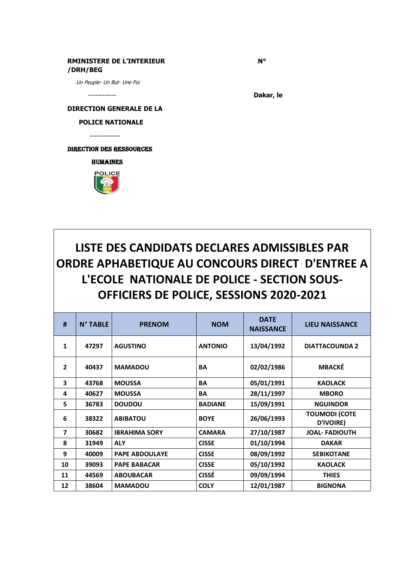## **RMINISTERE DE L'INTERIEUR N° /DRH/BEG**

Un Peuple- Un But- Une Foi

------------ **Dakar, le**

**DIRECTION GENERALE DE LA** 

 **POLICE NATIONALE** 

-------------

direction des ressources

**HUMAINES** 



## **LISTE DES CANDIDATS DECLARES ADMISSIBLES PAR ORDRE APHABETIQUE AU CONCOURS DIRECT D'ENTREE A L'ECOLE NATIONALE DE POLICE - SECTION SOUS-OFFICIERS DE POLICE, SESSIONS 2020-2021**

| #              | N° TABLE | <b>PRENOM</b>         | <b>NOM</b>     | <b>DATE</b><br><b>NAISSANCE</b> | <b>LIEU NAISSANCE</b>             |
|----------------|----------|-----------------------|----------------|---------------------------------|-----------------------------------|
| $\mathbf{1}$   | 47297    | <b>AGUSTINO</b>       | <b>ANTONIO</b> | 13/04/1992                      | <b>DIATTACOUNDA 2</b>             |
| $\overline{2}$ | 40437    | <b>MAMADOU</b>        | <b>BA</b>      | 02/02/1986                      | <b>MBACKÉ</b>                     |
| 3              | 43768    | <b>MOUSSA</b>         | <b>BA</b>      | 05/01/1991                      | <b>KAOLACK</b>                    |
| 4              | 40627    | <b>MOUSSA</b>         | <b>BA</b>      | 28/11/1997                      | <b>MBORO</b>                      |
| 5              | 36783    | <b>DOUDOU</b>         | <b>BADIANE</b> | 15/09/1991                      | <b>NGUINDOR</b>                   |
| 6              | 38322    | <b>ABIBATOU</b>       | <b>BOYE</b>    | 26/06/1993                      | <b>TOUMODI (COTE</b><br>D'IVOIRE) |
| 7              | 30682    | <b>IBRAHIMA SORY</b>  | <b>CAMARA</b>  | 27/10/1987                      | <b>JOAL-FADIOUTH</b>              |
| 8              | 31949    | <b>ALY</b>            | <b>CISSE</b>   | 01/10/1994                      | <b>DAKAR</b>                      |
| 9              | 40009    | <b>PAPE ABDOULAYE</b> | <b>CISSE</b>   | 08/09/1992                      | <b>SEBIKOTANE</b>                 |
| 10             | 39093    | <b>PAPE BABACAR</b>   | <b>CISSE</b>   | 05/10/1992                      | <b>KAOLACK</b>                    |
| 11             | 44569    | <b>ABOUBACAR</b>      | <b>CISSÉ</b>   | 09/09/1994                      | <b>THIES</b>                      |
| 12             | 38604    | <b>MAMADOU</b>        | <b>COLY</b>    | 12/01/1987                      | <b>BIGNONA</b>                    |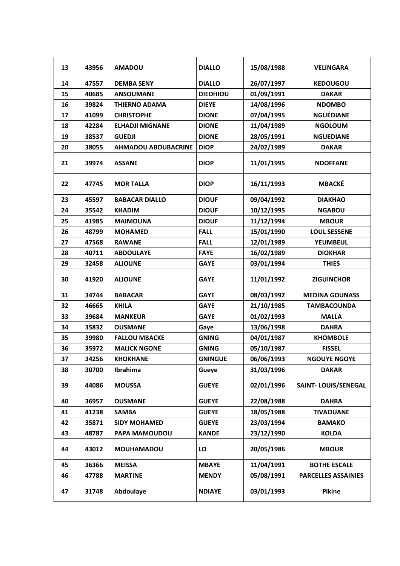| 13 | 43956 | <b>AMADOU</b>              | <b>DIALLO</b>   | 15/08/1988 | <b>VELINGARA</b>           |
|----|-------|----------------------------|-----------------|------------|----------------------------|
| 14 | 47557 | <b>DEMBA SENY</b>          | <b>DIALLO</b>   | 26/07/1997 | <b>KEDOUGOU</b>            |
| 15 | 40685 | <b>ANSOUMANE</b>           | <b>DIEDHIOU</b> | 01/09/1991 | <b>DAKAR</b>               |
| 16 | 39824 | <b>THIERNO ADAMA</b>       | <b>DIEYE</b>    | 14/08/1996 | <b>NDOMBO</b>              |
| 17 | 41099 | <b>CHRISTOPHE</b>          | <b>DIONE</b>    | 07/04/1995 | <b>NGUÉDIANE</b>           |
| 18 | 42284 | <b>ELHADJI MIGNANE</b>     | <b>DIONE</b>    | 11/04/1989 | <b>NGOLOUM</b>             |
| 19 | 38537 | <b>GUEDJI</b>              | <b>DIONE</b>    | 28/05/1991 | <b>NGUEDIANE</b>           |
| 20 | 38055 | <b>AHMADOU ABOUBACRINE</b> | <b>DIOP</b>     | 24/02/1989 | <b>DAKAR</b>               |
| 21 | 39974 | <b>ASSANE</b>              | <b>DIOP</b>     | 11/01/1995 | <b>NDOFFANE</b>            |
| 22 | 47745 | <b>MOR TALLA</b>           | <b>DIOP</b>     | 16/11/1993 | <b>MBACKÉ</b>              |
| 23 | 45597 | <b>BABACAR DIALLO</b>      | <b>DIOUF</b>    | 09/04/1992 | <b>DIAKHAO</b>             |
| 24 | 35542 | <b>KHADIM</b>              | <b>DIOUF</b>    | 10/12/1995 | <b>NGABOU</b>              |
| 25 | 41985 | <b>MAIMOUNA</b>            | <b>DIOUF</b>    | 11/12/1994 | <b>MBOUR</b>               |
| 26 | 48799 | <b>MOHAMED</b>             | <b>FALL</b>     | 15/01/1990 | <b>LOUL SESSENE</b>        |
| 27 | 47568 | <b>RAWANE</b>              | <b>FALL</b>     | 12/01/1989 | <b>YEUMBEUL</b>            |
| 28 | 40711 | <b>ABDOULAYE</b>           | <b>FAYE</b>     | 16/02/1989 | <b>DIOKHAR</b>             |
| 29 | 32458 | <b>ALIOUNE</b>             | <b>GAYE</b>     | 03/01/1994 | <b>THIES</b>               |
| 30 | 41920 | <b>ALIOUNE</b>             | <b>GAYE</b>     | 11/01/1992 | <b>ZIGUINCHOR</b>          |
| 31 | 34744 | <b>BABACAR</b>             | <b>GAYE</b>     | 08/03/1992 | <b>MEDINA GOUNASS</b>      |
| 32 | 46665 | <b>KHILA</b>               | <b>GAYE</b>     | 21/10/1985 | <b>TAMBACOUNDA</b>         |
| 33 | 39684 | <b>MANKEUR</b>             | <b>GAYE</b>     | 01/02/1993 | <b>MALLA</b>               |
| 34 | 35832 | <b>OUSMANE</b>             | Gaye            | 13/06/1998 | <b>DAHRA</b>               |
| 35 | 39980 | <b>FALLOU MBACKE</b>       | <b>GNING</b>    | 04/01/1987 | <b>KHOMBOLE</b>            |
| 36 | 35972 | <b>MALICK NGONE</b>        | <b>GNING</b>    | 05/10/1987 | <b>FISSEL</b>              |
| 37 | 34256 | <b>KHOKHANE</b>            | <b>GNINGUE</b>  | 06/06/1993 | <b>NGOUYE NGOYE</b>        |
| 38 | 30700 | Ibrahima                   | Gueye           | 31/03/1996 | <b>DAKAR</b>               |
| 39 | 44086 | <b>MOUSSA</b>              | <b>GUEYE</b>    | 02/01/1996 | <b>SAINT-LOUIS/SENEGAL</b> |
| 40 | 36957 | <b>OUSMANE</b>             | <b>GUEYE</b>    | 22/08/1988 | <b>DAHRA</b>               |
| 41 | 41238 | <b>SAMBA</b>               | <b>GUEYE</b>    | 18/05/1988 | <b>TIVAOUANE</b>           |
| 42 | 35871 | <b>SIDY MOHAMED</b>        | <b>GUEYE</b>    | 23/03/1994 | <b>BAMAKO</b>              |
| 43 | 48787 | PAPA MAMOUDOU              | <b>KANDE</b>    | 23/12/1990 | <b>KOLDA</b>               |
| 44 | 43012 | <b>MOUHAMADOU</b>          | LO              | 20/05/1986 | <b>MBOUR</b>               |
| 45 | 36366 | <b>MEISSA</b>              | <b>MBAYE</b>    | 11/04/1991 | <b>BOTHE ESCALE</b>        |
| 46 | 47788 | <b>MARTINE</b>             | <b>MENDY</b>    | 05/08/1991 | <b>PARCELLES ASSAINIES</b> |
| 47 | 31748 | Abdoulaye                  | <b>NDIAYE</b>   | 03/01/1993 | Pikine                     |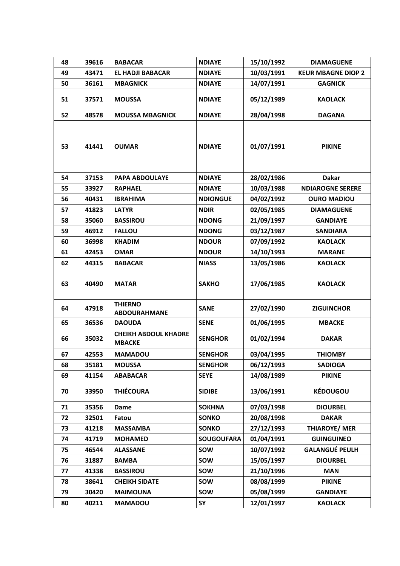| 48 | 39616 | <b>BABACAR</b>                               | <b>NDIAYE</b>     | 15/10/1992 | <b>DIAMAGUENE</b>         |
|----|-------|----------------------------------------------|-------------------|------------|---------------------------|
| 49 | 43471 | <b>EL HADJI BABACAR</b>                      | <b>NDIAYE</b>     | 10/03/1991 | <b>KEUR MBAGNE DIOP 2</b> |
| 50 | 36161 | <b>MBAGNICK</b>                              | <b>NDIAYE</b>     | 14/07/1991 | <b>GAGNICK</b>            |
| 51 | 37571 | <b>MOUSSA</b>                                | <b>NDIAYE</b>     | 05/12/1989 | <b>KAOLACK</b>            |
| 52 | 48578 | <b>MOUSSA MBAGNICK</b>                       | <b>NDIAYE</b>     | 28/04/1998 | <b>DAGANA</b>             |
| 53 | 41441 | <b>OUMAR</b>                                 | <b>NDIAYE</b>     | 01/07/1991 | <b>PIKINE</b>             |
| 54 | 37153 | <b>PAPA ABDOULAYE</b>                        | <b>NDIAYE</b>     | 28/02/1986 | <b>Dakar</b>              |
| 55 | 33927 | <b>RAPHAEL</b>                               | <b>NDIAYE</b>     | 10/03/1988 | <b>NDIAROGNE SERERE</b>   |
| 56 | 40431 | <b>IBRAHIMA</b>                              | <b>NDIONGUE</b>   | 04/02/1992 | <b>OURO MADIOU</b>        |
| 57 | 41823 | <b>LATYR</b>                                 | <b>NDIR</b>       | 02/05/1985 | <b>DIAMAGUENE</b>         |
| 58 | 35060 | <b>BASSIROU</b>                              | <b>NDONG</b>      | 21/09/1997 | <b>GANDIAYE</b>           |
| 59 | 46912 | <b>FALLOU</b>                                | <b>NDONG</b>      | 03/12/1987 | <b>SANDIARA</b>           |
| 60 | 36998 | <b>KHADIM</b>                                | <b>NDOUR</b>      | 07/09/1992 | <b>KAOLACK</b>            |
| 61 | 42453 | <b>OMAR</b>                                  | <b>NDOUR</b>      | 14/10/1993 | <b>MARANE</b>             |
| 62 | 44315 | <b>BABACAR</b>                               | <b>NIASS</b>      | 13/05/1986 | <b>KAOLACK</b>            |
| 63 | 40490 | <b>MATAR</b>                                 | <b>SAKHO</b>      | 17/06/1985 | <b>KAOLACK</b>            |
| 64 | 47918 | <b>THIERNO</b><br><b>ABDOURAHMANE</b>        | <b>SANE</b>       | 27/02/1990 | <b>ZIGUINCHOR</b>         |
| 65 | 36536 | <b>DAOUDA</b>                                | <b>SENE</b>       | 01/06/1995 | <b>MBACKE</b>             |
| 66 | 35032 | <b>CHEIKH ABDOUL KHADRE</b><br><b>MBACKE</b> | <b>SENGHOR</b>    | 01/02/1994 | <b>DAKAR</b>              |
| 67 | 42553 | <b>MAMADOU</b>                               | <b>SENGHOR</b>    | 03/04/1995 | <b>THIOMBY</b>            |
| 68 | 35181 | <b>MOUSSA</b>                                | <b>SENGHOR</b>    | 06/12/1993 | <b>SADIOGA</b>            |
| 69 | 41154 | <b>ABABACAR</b>                              | <b>SEYE</b>       | 14/08/1989 | <b>PIKINE</b>             |
| 70 | 33950 | <b>THIÉCOURA</b>                             | <b>SIDIBE</b>     | 13/06/1991 | <b>KÉDOUGOU</b>           |
| 71 | 35356 | Dame                                         | <b>SOKHNA</b>     | 07/03/1998 | <b>DIOURBEL</b>           |
| 72 | 32501 | Fatou                                        | <b>SONKO</b>      | 20/08/1998 | <b>DAKAR</b>              |
| 73 | 41218 | <b>MASSAMBA</b>                              | <b>SONKO</b>      | 27/12/1993 | <b>THIAROYE/ MER</b>      |
| 74 | 41719 | <b>MOHAMED</b>                               | <b>SOUGOUFARA</b> | 01/04/1991 | <b>GUINGUINEO</b>         |
| 75 | 46544 | <b>ALASSANE</b>                              | sow               | 10/07/1992 | <b>GALANGUÉ PEULH</b>     |
| 76 | 31887 | <b>BAMBA</b>                                 | sow               | 15/05/1997 | <b>DIOURBEL</b>           |
| 77 | 41338 | <b>BASSIROU</b>                              | sow               | 21/10/1996 | <b>MAN</b>                |
| 78 | 38641 | <b>CHEIKH SIDATE</b>                         | <b>SOW</b>        | 08/08/1999 | <b>PIKINE</b>             |
| 79 | 30420 | <b>MAIMOUNA</b>                              | sow               | 05/08/1999 | <b>GANDIAYE</b>           |
| 80 | 40211 | <b>MAMADOU</b>                               | SY                | 12/01/1997 | <b>KAOLACK</b>            |